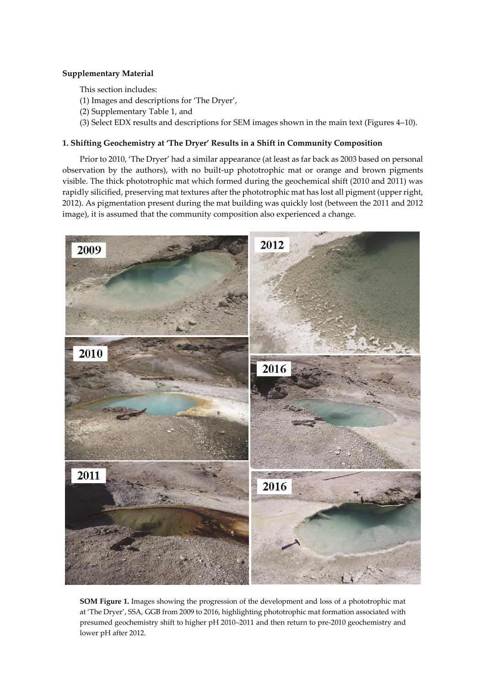## **Supplementary Material**

This section includes:

- (1) Images and descriptions for 'The Dryer',
- (2) Supplementary Table 1, and
- (3) Select EDX results and descriptions for SEM images shown in the main text (Figures 4–10).

## **1. Shifting Geochemistry at 'The Dryer' Results in a Shift in Community Composition**

Prior to 2010, 'The Dryer' had a similar appearance (at least as far back as 2003 based on personal observation by the authors), with no built-up phototrophic mat or orange and brown pigments visible. The thick phototrophic mat which formed during the geochemical shift (2010 and 2011) was rapidly silicified, preserving mat textures after the phototrophic mat has lost all pigment (upper right, 2012). As pigmentation present during the mat building was quickly lost (between the 2011 and 2012 image), it is assumed that the community composition also experienced a change.



**SOM Figure 1.** Images showing the progression of the development and loss of a phototrophic mat at 'The Dryer', SSA, GGB from 2009 to 2016, highlighting phototrophic mat formation associated with presumed geochemistry shift to higher pH 2010–2011 and then return to pre-2010 geochemistry and lower pH after 2012.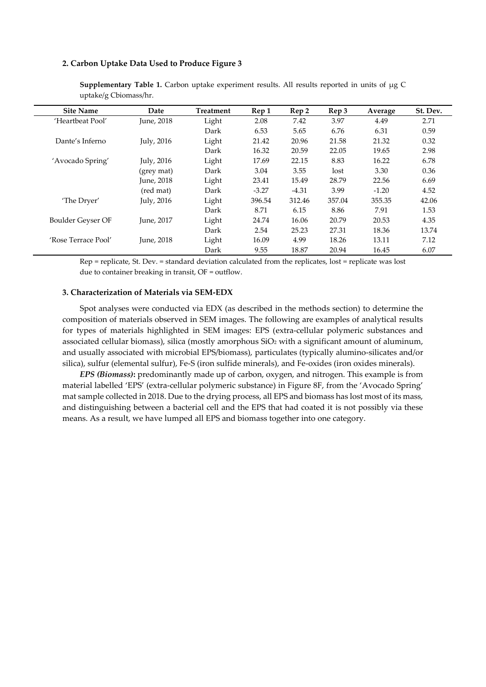## **2. Carbon Uptake Data Used to Produce Figure 3**

| <b>Site Name</b>    | Date       | <b>Treatment</b> | Rep 1   | Rep 2   | Rep 3  | Average | St. Dev. |
|---------------------|------------|------------------|---------|---------|--------|---------|----------|
| 'Heartbeat Pool'    | June, 2018 | Light            | 2.08    | 7.42    | 3.97   | 4.49    | 2.71     |
|                     |            | Dark             | 6.53    | 5.65    | 6.76   | 6.31    | 0.59     |
| Dante's Inferno     | July, 2016 | Light            | 21.42   | 20.96   | 21.58  | 21.32   | 0.32     |
|                     |            | Dark             | 16.32   | 20.59   | 22.05  | 19.65   | 2.98     |
| 'Avocado Spring'    | July, 2016 | Light            | 17.69   | 22.15   | 8.83   | 16.22   | 6.78     |
|                     | (grey mat) | Dark             | 3.04    | 3.55    | lost   | 3.30    | 0.36     |
|                     | June, 2018 | Light            | 23.41   | 15.49   | 28.79  | 22.56   | 6.69     |
|                     | (red mat)  | Dark             | $-3.27$ | $-4.31$ | 3.99   | $-1.20$ | 4.52     |
| 'The Dryer'         | July, 2016 | Light            | 396.54  | 312.46  | 357.04 | 355.35  | 42.06    |
|                     |            | Dark             | 8.71    | 6.15    | 8.86   | 7.91    | 1.53     |
| Boulder Geyser OF   | June, 2017 | Light            | 24.74   | 16.06   | 20.79  | 20.53   | 4.35     |
|                     |            | Dark             | 2.54    | 25.23   | 27.31  | 18.36   | 13.74    |
| 'Rose Terrace Pool' | June, 2018 | Light            | 16.09   | 4.99    | 18.26  | 13.11   | 7.12     |
|                     |            | Dark             | 9.55    | 18.87   | 20.94  | 16.45   | 6.07     |

Supplementary Table 1. Carbon uptake experiment results. All results reported in units of µg C uptake/g Cbiomass/hr.

Rep = replicate, St. Dev. = standard deviation calculated from the replicates, lost = replicate was lost due to container breaking in transit, OF = outflow.

## **3. Characterization of Materials via SEM-EDX**

Spot analyses were conducted via EDX (as described in the methods section) to determine the composition of materials observed in SEM images. The following are examples of analytical results for types of materials highlighted in SEM images: EPS (extra-cellular polymeric substances and associated cellular biomass), silica (mostly amorphous SiO<sup>2</sup> with a significant amount of aluminum, and usually associated with microbial EPS/biomass), particulates (typically alumino-silicates and/or silica), sulfur (elemental sulfur), Fe-S (iron sulfide minerals), and Fe-oxides (iron oxides minerals).

*EPS (Biomass)***:** predominantly made up of carbon, oxygen, and nitrogen. This example is from material labelled 'EPS' (extra-cellular polymeric substance) in Figure 8F, from the 'Avocado Spring' mat sample collected in 2018. Due to the drying process, all EPS and biomass has lost most of its mass, and distinguishing between a bacterial cell and the EPS that had coated it is not possibly via these means. As a result, we have lumped all EPS and biomass together into one category.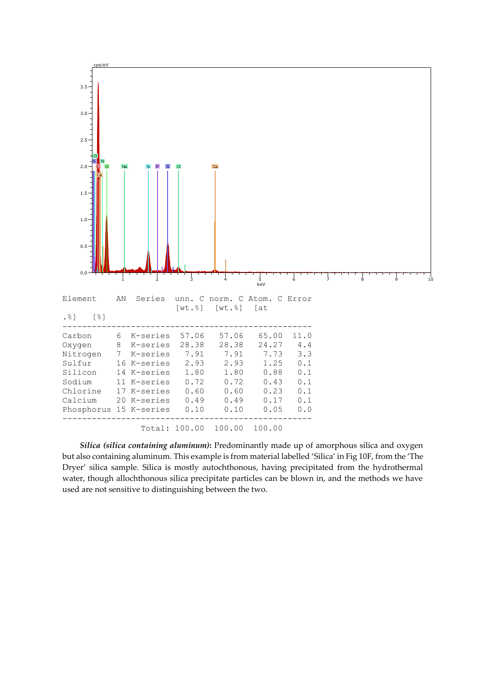

*Silica (silica containing aluminum)***:** Predominantly made up of amorphous silica and oxygen but also containing aluminum. This example is from material labelled 'Silica' in Fig 10F, from the 'The Dryer' silica sample. Silica is mostly autochthonous, having precipitated from the hydrothermal water, though allochthonous silica precipitate particles can be blown in, and the methods we have used are not sensitive to distinguishing between the two.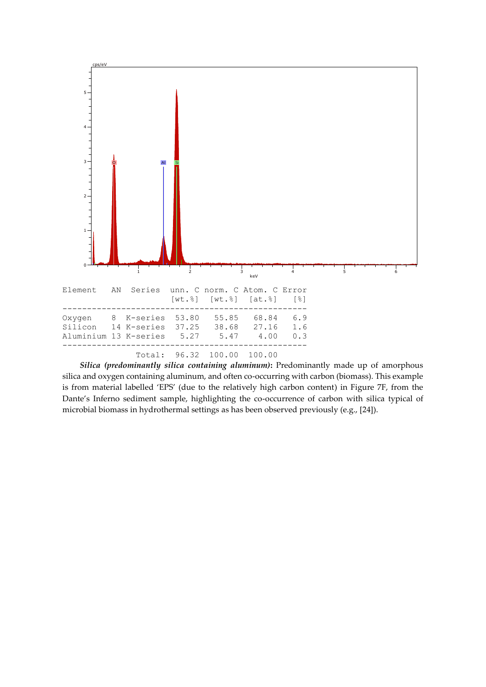

*Silica (predominantly silica containing aluminum)***:** Predominantly made up of amorphous silica and oxygen containing aluminum, and often co-occurring with carbon (biomass). This example is from material labelled 'EPS' (due to the relatively high carbon content) in Figure 7F, from the Dante's Inferno sediment sample, highlighting the co-occurrence of carbon with silica typical of microbial biomass in hydrothermal settings as has been observed previously (e.g., [24]).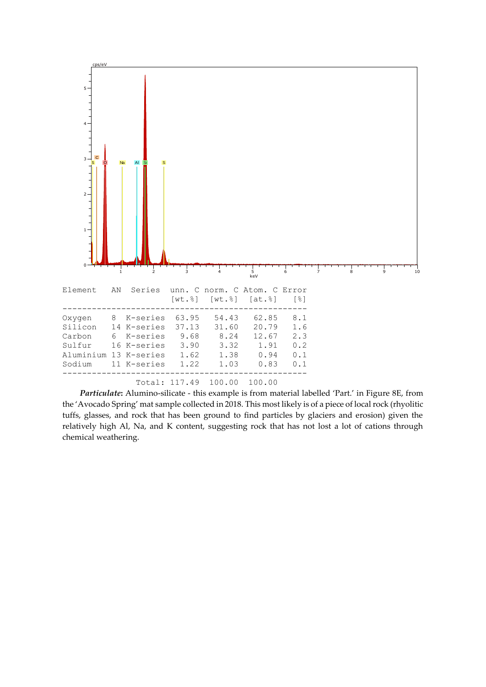

*Particulate***:** Alumino-silicate - this example is from material labelled 'Part.' in Figure 8E, from the 'Avocado Spring' mat sample collected in 2018. This most likely is of a piece of local rock (rhyolitic tuffs, glasses, and rock that has been ground to find particles by glaciers and erosion) given the relatively high Al, Na, and K content, suggesting rock that has not lost a lot of cations through chemical weathering.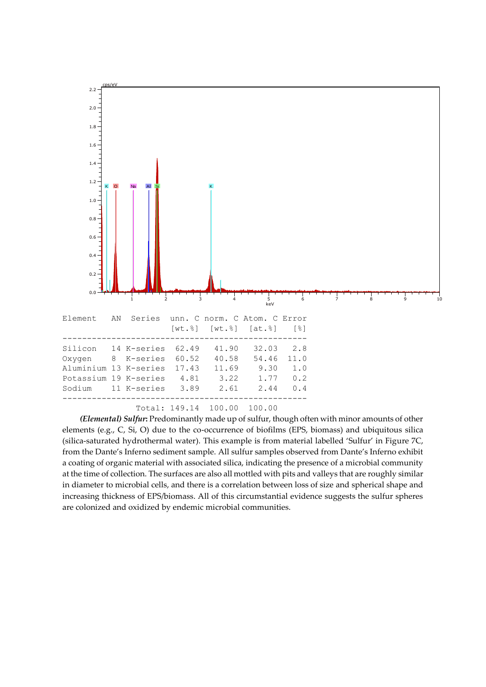

*(Elemental) Sulfur***:** Predominantly made up of sulfur, though often with minor amounts of other elements (e.g., C, Si, O) due to the co-occurrence of biofilms (EPS, biomass) and ubiquitous silica (silica-saturated hydrothermal water). This example is from material labelled 'Sulfur' in Figure 7C, from the Dante's Inferno sediment sample. All sulfur samples observed from Dante's Inferno exhibit a coating of organic material with associated silica, indicating the presence of a microbial community at the time of collection. The surfaces are also all mottled with pits and valleys that are roughly similar in diameter to microbial cells, and there is a correlation between loss of size and spherical shape and increasing thickness of EPS/biomass. All of this circumstantial evidence suggests the sulfur spheres are colonized and oxidized by endemic microbial communities.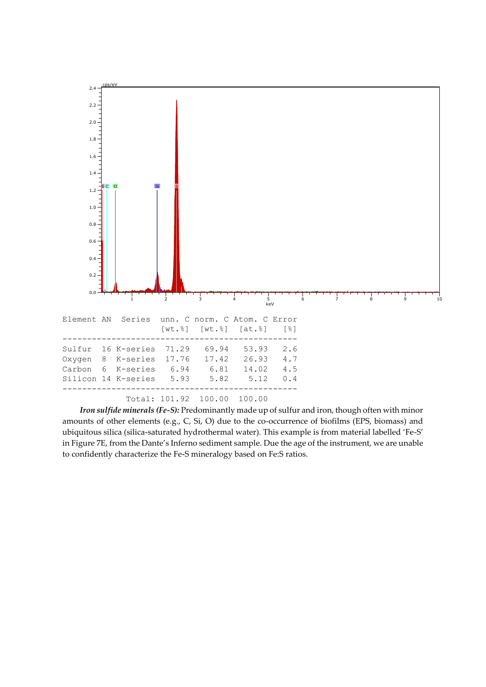

*Iron sulfide minerals (Fe-S):* Predominantly made up of sulfur and iron, though often with minor amounts of other elements (e.g., C, Si, O) due to the co-occurrence of biofilms (EPS, biomass) and ubiquitous silica (silica-saturated hydrothermal water). This example is from material labelled 'Fe-S' in Figure 7E, from the Dante's Inferno sediment sample. Due the age of the instrument, we are unable to confidently characterize the Fe-S mineralogy based on Fe:S ratios.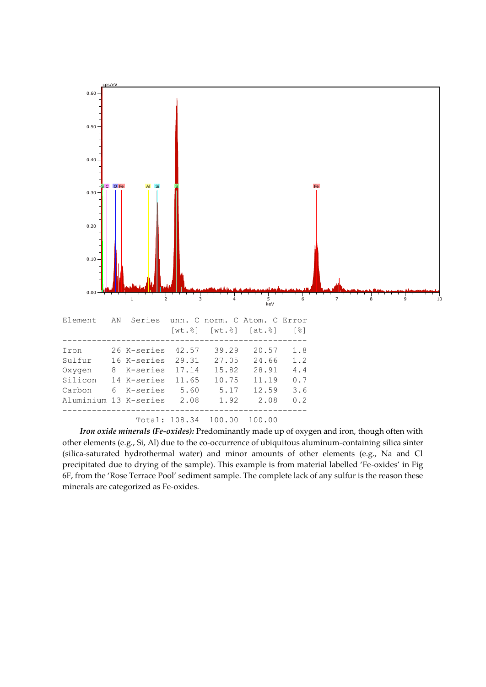

*Iron oxide minerals (Fe-oxides):* Predominantly made up of oxygen and iron, though often with other elements (e.g., Si, Al) due to the co-occurrence of ubiquitous aluminum-containing silica sinter (silica-saturated hydrothermal water) and minor amounts of other elements (e.g., Na and Cl precipitated due to drying of the sample). This example is from material labelled 'Fe-oxides' in Fig 6F, from the 'Rose Terrace Pool' sediment sample. The complete lack of any sulfur is the reason these minerals are categorized as Fe-oxides.